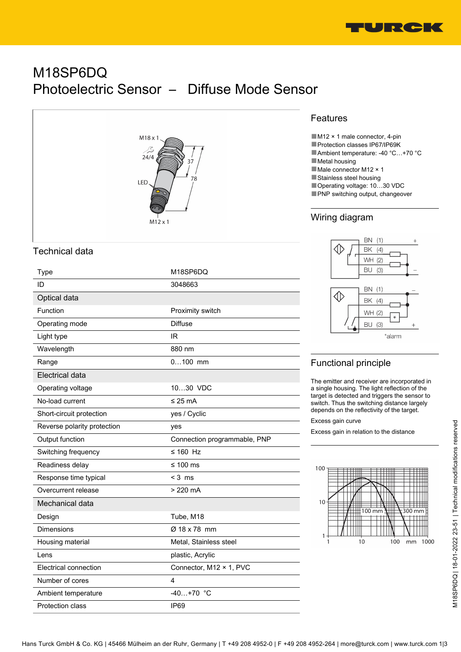

# M18SP6DQ Photoelectric Sensor – Diffuse Mode Sensor



## Technical data

| Type                        | M18SP6DQ                     |
|-----------------------------|------------------------------|
| ID                          | 3048663                      |
| Optical data                |                              |
| Function                    | Proximity switch             |
| Operating mode              | <b>Diffuse</b>               |
| Light type                  | IR                           |
| Wavelength                  | 880 nm                       |
| Range                       | $0100$ mm                    |
| Electrical data             |                              |
| Operating voltage           | 1030 VDC                     |
| No-load current             | $\leq$ 25 mA                 |
| Short-circuit protection    | yes / Cyclic                 |
| Reverse polarity protection | yes                          |
| Output function             | Connection programmable, PNP |
| Switching frequency         | $\leq 160$ Hz                |
| Readiness delay             | ≤ 100 ms                     |
| Response time typical       | $<$ 3 ms                     |
| Overcurrent release         | $>220$ mA                    |
| Mechanical data             |                              |
| Design                      | Tube, M18                    |
| Dimensions                  | Ø 18 x 78 mm                 |
| Housing material            | Metal, Stainless steel       |
| Lens                        | plastic, Acrylic             |
| Electrical connection       | Connector, M12 × 1, PVC      |
| Number of cores             | 4                            |
| Ambient temperature         | $-40+70$ °C                  |
| <b>Protection class</b>     | <b>IP69</b>                  |

## Features

■M12 × 1 male connector, 4-pin

- ■Protection classes IP67/IP69K
- ■Ambient temperature: -40 °C…+70 °C
- ■Metal housing
- ■Male connector M12 × 1
- ■Stainless steel housing
- ■Operating voltage: 10...30 VDC
- PNP switching output, changeover

## Wiring diagram



## Functional principle

The emitter and receiver are incorporated in a single housing. The light reflection of the target is detected and triggers the sensor to switch. Thus the switching distance largely depends on the reflectivity of the target.

Excess gain curve

Excess gain in relation to the distance

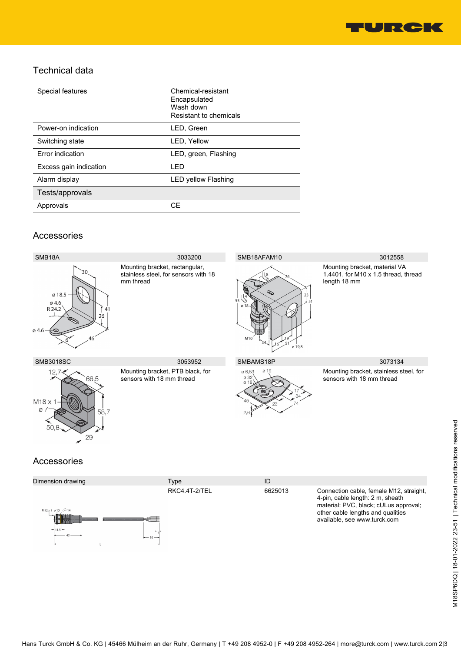

## Technical data

| Special features       | Chemical-resistant<br>Encapsulated<br>Wash down<br>Resistant to chemicals |
|------------------------|---------------------------------------------------------------------------|
| Power-on indication    | LED, Green                                                                |
| Switching state        | LED, Yellow                                                               |
| Error indication       | LED, green, Flashing                                                      |
| Excess gain indication | LED                                                                       |
| Alarm display          | <b>LED yellow Flashing</b>                                                |
| Tests/approvals        |                                                                           |
| Approvals              | CF                                                                        |
|                        |                                                                           |

### Accessories